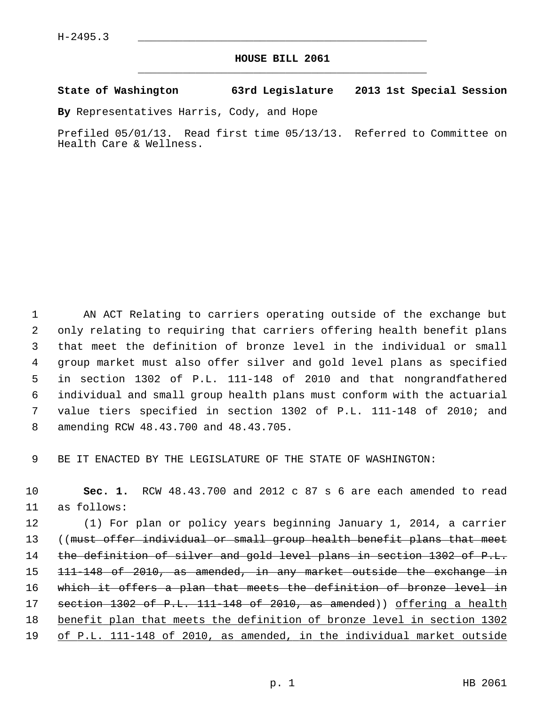## **HOUSE BILL 2061** \_\_\_\_\_\_\_\_\_\_\_\_\_\_\_\_\_\_\_\_\_\_\_\_\_\_\_\_\_\_\_\_\_\_\_\_\_\_\_\_\_\_\_\_\_

## **State of Washington 63rd Legislature 2013 1st Special Session**

**By** Representatives Harris, Cody, and Hope

Prefiled 05/01/13. Read first time 05/13/13. Referred to Committee on Health Care & Wellness.

 1 AN ACT Relating to carriers operating outside of the exchange but 2 only relating to requiring that carriers offering health benefit plans 3 that meet the definition of bronze level in the individual or small 4 group market must also offer silver and gold level plans as specified 5 in section 1302 of P.L. 111-148 of 2010 and that nongrandfathered 6 individual and small group health plans must conform with the actuarial 7 value tiers specified in section 1302 of P.L. 111-148 of 2010; and 8 amending RCW 48.43.700 and 48.43.705.

9 BE IT ENACTED BY THE LEGISLATURE OF THE STATE OF WASHINGTON:

10 **Sec. 1.** RCW 48.43.700 and 2012 c 87 s 6 are each amended to read 11 as follows:

12 (1) For plan or policy years beginning January 1, 2014, a carrier 13 ((must offer individual or small group health benefit plans that meet 14 the definition of silver and gold level plans in section 1302 of P.L. 15 <del>111-148 of 2010, as amended, in any market outside the exchange in</del> 16 which it offers a plan that meets the definition of bronze level in 17 section 1302 of P.L. 111-148 of 2010, as amended)) offering a health 18 benefit plan that meets the definition of bronze level in section 1302 19 of P.L. 111-148 of 2010, as amended, in the individual market outside